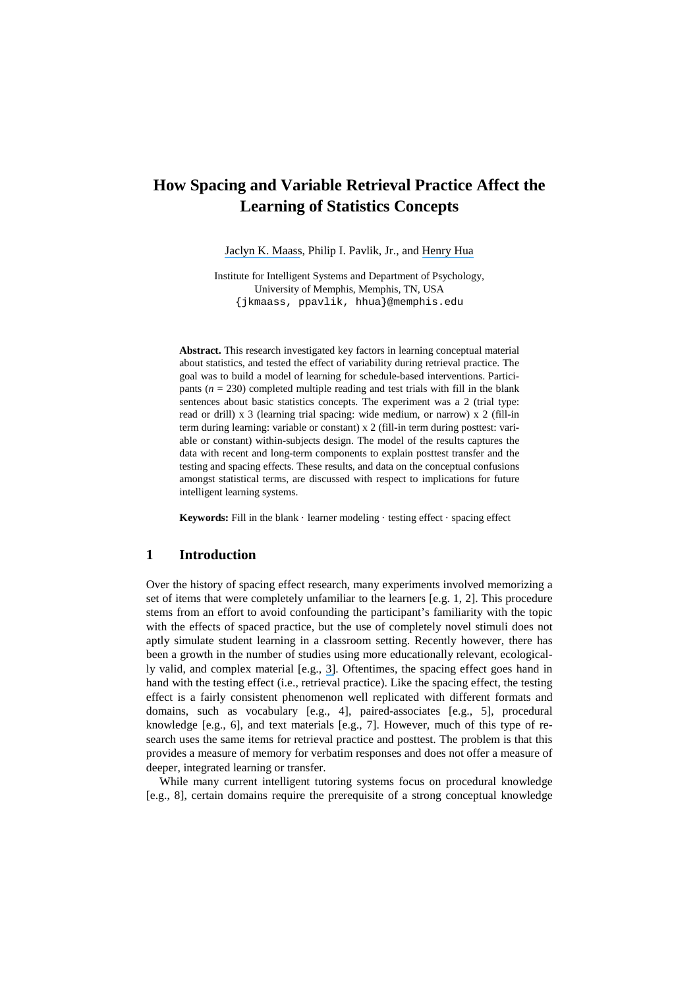# **How Spacing and Variable Retrieval Practice Affect the Learning of Statistics Concepts**

[Jaclyn K. Maass](https://www.researchgate.net/profile/Jaclyn_Maass?el=1_x_100&enrichId=rgreq-501db0b47b7c63dc573ee4d805660628-XXX&enrichSource=Y292ZXJQYWdlOzI3NzI0Nzc2MztBUzoyMzM0NjM5MjQxMjk3OTNAMTQzMjY3MzU0NTIyMw==), Philip I. Pavlik, Jr., and [Henry Hua](https://www.researchgate.net/profile/Henry_Hua?el=1_x_100&enrichId=rgreq-501db0b47b7c63dc573ee4d805660628-XXX&enrichSource=Y292ZXJQYWdlOzI3NzI0Nzc2MztBUzoyMzM0NjM5MjQxMjk3OTNAMTQzMjY3MzU0NTIyMw==)

Institute for Intelligent Systems and Department of Psychology, University of Memphis, Memphis, TN, USA {jkmaass, ppavlik, hhua}@memphis.edu

**Abstract.** This research investigated key factors in learning conceptual material about statistics, and tested the effect of variability during retrieval practice. The goal was to build a model of learning for schedule-based interventions. Participants ( $n = 230$ ) completed multiple reading and test trials with fill in the blank sentences about basic statistics concepts. The experiment was a 2 (trial type: read or drill) x 3 (learning trial spacing: wide medium, or narrow) x 2 (fill-in term during learning: variable or constant) x 2 (fill-in term during posttest: variable or constant) within-subjects design. The model of the results captures the data with recent and long-term components to explain posttest transfer and the testing and spacing effects. These results, and data on the conceptual confusions amongst statistical terms, are discussed with respect to implications for future intelligent learning systems.

**Keywords:** Fill in the blank · learner modeling · testing effect · spacing effect

### **1 Introduction**

Over the history of spacing effect research, many experiments involved memorizing a set of items that were completely unfamiliar to the learners [e.g. [1,](#page-8-0) [2\]](#page-8-1). This procedure stems from an effort to avoid confounding the participant's familiarity with the topic with the effects of spaced practice, but the use of completely novel stimuli does not aptly simulate student learning in a classroom setting. Recently however, there has been a growth in the number of studies using more educationally relevant, ecologically valid, and complex material [\[e.g., 3\]](#page-9-0). Oftentimes, the spacing effect goes hand in hand with the testing effect (i.e., retrieval practice). Like the spacing effect, the testing effect is a fairly consistent phenomenon well replicated with different formats and domains, such as vocabulary [\[e.g., 4\]](#page-9-1), paired-associates [\[e.g., 5\]](#page-9-2), procedural knowledge [\[e.g., 6\]](#page-9-3), and text materials [\[e.g., 7\]](#page-9-4). However, much of this type of research uses the same items for retrieval practice and posttest. The problem is that this provides a measure of memory for verbatim responses and does not offer a measure of deeper, integrated learning or transfer.

While many current intelligent tutoring systems focus on procedural knowledge [\[e.g., 8\]](#page-9-5), certain domains require the prerequisite of a strong conceptual knowledge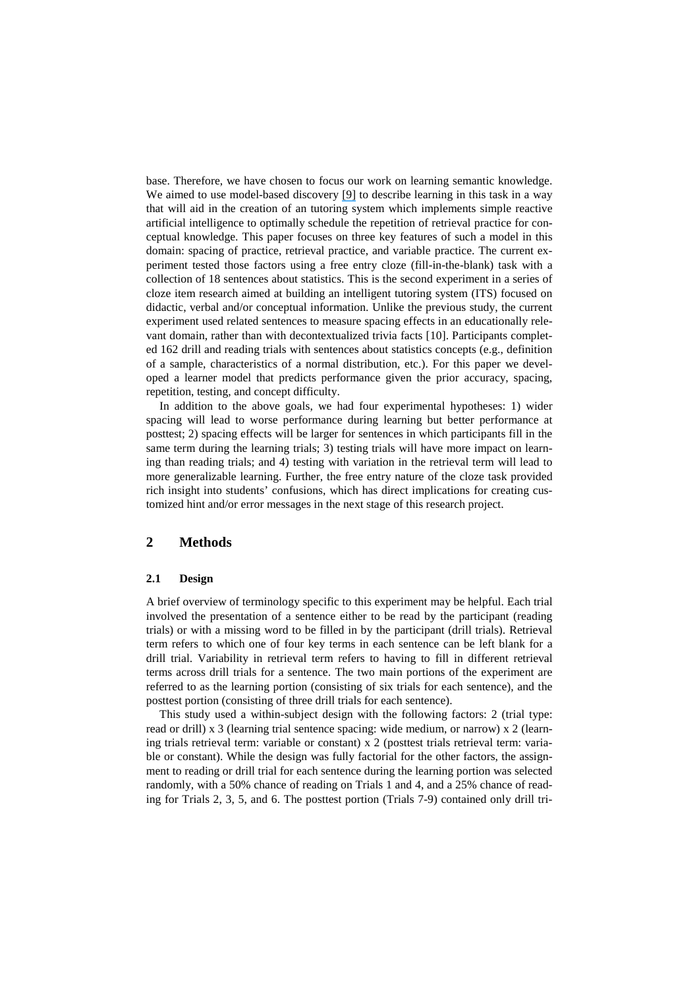base. Therefore, we have chosen to focus our work on learning semantic knowledge. We aimed to use model-based discovery [\[](https://www.researchgate.net/publication/303194389_The_State_of_Educational_Data_Mining_in_2009_A_Review_and_Future_Visions?el=1_x_8&enrichId=rgreq-501db0b47b7c63dc573ee4d805660628-XXX&enrichSource=Y292ZXJQYWdlOzI3NzI0Nzc2MztBUzoyMzM0NjM5MjQxMjk3OTNAMTQzMjY3MzU0NTIyMw==)[9](#page-9-6)[\]](https://www.researchgate.net/publication/303194389_The_State_of_Educational_Data_Mining_in_2009_A_Review_and_Future_Visions?el=1_x_8&enrichId=rgreq-501db0b47b7c63dc573ee4d805660628-XXX&enrichSource=Y292ZXJQYWdlOzI3NzI0Nzc2MztBUzoyMzM0NjM5MjQxMjk3OTNAMTQzMjY3MzU0NTIyMw==) to describe learning in this task in a way that will aid in the creation of an tutoring system which implements simple reactive artificial intelligence to optimally schedule the repetition of retrieval practice for conceptual knowledge. This paper focuses on three key features of such a model in this domain: spacing of practice, retrieval practice, and variable practice. The current experiment tested those factors using a free entry cloze (fill-in-the-blank) task with a collection of 18 sentences about statistics. This is the second experiment in a series of cloze item research aimed at building an intelligent tutoring system (ITS) focused on didactic, verbal and/or conceptual information. Unlike the previous study, the current experiment used related sentences to measure spacing effects in an educationally relevant domain, rather than with decontextualized trivia facts [\[10\]](#page-9-7). Participants completed 162 drill and reading trials with sentences about statistics concepts (e.g., definition of a sample, characteristics of a normal distribution, etc.). For this paper we developed a learner model that predicts performance given the prior accuracy, spacing, repetition, testing, and concept difficulty.

In addition to the above goals, we had four experimental hypotheses: 1) wider spacing will lead to worse performance during learning but better performance at posttest; 2) spacing effects will be larger for sentences in which participants fill in the same term during the learning trials; 3) testing trials will have more impact on learning than reading trials; and 4) testing with variation in the retrieval term will lead to more generalizable learning. Further, the free entry nature of the cloze task provided rich insight into students' confusions, which has direct implications for creating customized hint and/or error messages in the next stage of this research project.

## **2 Methods**

#### **2.1 Design**

A brief overview of terminology specific to this experiment may be helpful. Each trial involved the presentation of a sentence either to be read by the participant (reading trials) or with a missing word to be filled in by the participant (drill trials). Retrieval term refers to which one of four key terms in each sentence can be left blank for a drill trial. Variability in retrieval term refers to having to fill in different retrieval terms across drill trials for a sentence. The two main portions of the experiment are referred to as the learning portion (consisting of six trials for each sentence), and the posttest portion (consisting of three drill trials for each sentence).

This study used a within-subject design with the following factors: 2 (trial type: read or drill) x 3 (learning trial sentence spacing: wide medium, or narrow) x 2 (learning trials retrieval term: variable or constant) x 2 (posttest trials retrieval term: variable or constant). While the design was fully factorial for the other factors, the assignment to reading or drill trial for each sentence during the learning portion was selected randomly, with a 50% chance of reading on Trials 1 and 4, and a 25% chance of reading for Trials 2, 3, 5, and 6. The posttest portion (Trials 7-9) contained only drill tri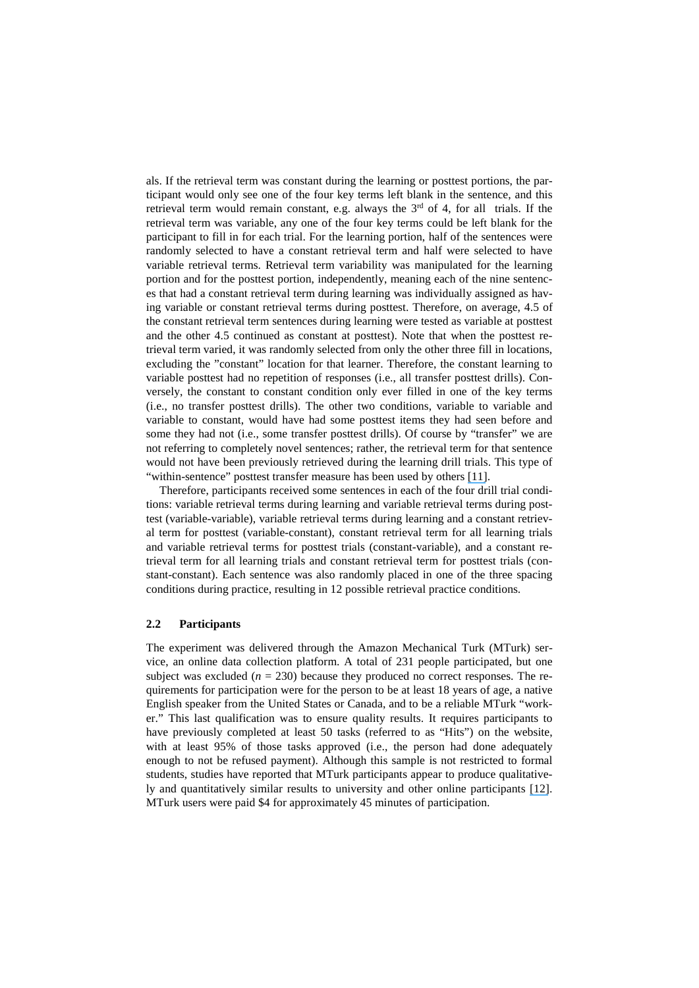als. If the retrieval term was constant during the learning or posttest portions, the participant would only see one of the four key terms left blank in the sentence, and this retrieval term would remain constant, e.g. always the 3<sup>rd</sup> of 4, for all trials. If the retrieval term was variable, any one of the four key terms could be left blank for the participant to fill in for each trial. For the learning portion, half of the sentences were randomly selected to have a constant retrieval term and half were selected to have variable retrieval terms. Retrieval term variability was manipulated for the learning portion and for the posttest portion, independently, meaning each of the nine sentences that had a constant retrieval term during learning was individually assigned as having variable or constant retrieval terms during posttest. Therefore, on average, 4.5 of the constant retrieval term sentences during learning were tested as variable at posttest and the other 4.5 continued as constant at posttest). Note that when the posttest retrieval term varied, it was randomly selected from only the other three fill in locations, excluding the "constant" location for that learner. Therefore, the constant learning to variable posttest had no repetition of responses (i.e., all transfer posttest drills). Conversely, the constant to constant condition only ever filled in one of the key terms (i.e., no transfer posttest drills). The other two conditions, variable to variable and variable to constant, would have had some posttest items they had seen before and some they had not (i.e., some transfer posttest drills). Of course by "transfer" we are not referring to completely novel sentences; rather, the retrieval term for that sentence would not have been previously retrieved during the learning drill trials. This type of "within-sentence" posttest transfer measure has been used by others [\[](https://www.researchgate.net/publication/240236268_Testing_the_testing_effect_in_classroom?el=1_x_8&enrichId=rgreq-501db0b47b7c63dc573ee4d805660628-XXX&enrichSource=Y292ZXJQYWdlOzI3NzI0Nzc2MztBUzoyMzM0NjM5MjQxMjk3OTNAMTQzMjY3MzU0NTIyMw==)[11\]](#page-9-8).

Therefore, participants received some sentences in each of the four drill trial conditions: variable retrieval terms during learning and variable retrieval terms during posttest (variable-variable), variable retrieval terms during learning and a constant retrieval term for posttest (variable-constant), constant retrieval term for all learning trials and variable retrieval terms for posttest trials (constant-variable), and a constant retrieval term for all learning trials and constant retrieval term for posttest trials (constant-constant). Each sentence was also randomly placed in one of the three spacing conditions during practice, resulting in 12 possible retrieval practice conditions.

### **2.2 Participants**

The experiment was delivered through the Amazon Mechanical Turk (MTurk) service, an online data collection platform. A total of 231 people participated, but one subject was excluded  $(n = 230)$  because they produced no correct responses. The requirements for participation were for the person to be at least 18 years of age, a native English speaker from the United States or Canada, and to be a reliable MTurk "worker." This last qualification was to ensure quality results. It requires participants to have previously completed at least 50 tasks (referred to as "Hits") on the website, with at least 95% of those tasks approved (i.e., the person had done adequately enough to not be refused payment). Although this sample is not restricted to formal students, studies have reported that MTurk participants appear to produce qualitatively and quantitatively similar results to university and other online participants [\[](https://www.researchgate.net/publication/46525612_Running_Experiments_Using_Amazon_Mechanical_Turk?el=1_x_8&enrichId=rgreq-501db0b47b7c63dc573ee4d805660628-XXX&enrichSource=Y292ZXJQYWdlOzI3NzI0Nzc2MztBUzoyMzM0NjM5MjQxMjk3OTNAMTQzMjY3MzU0NTIyMw==)[12\]](#page-9-9). MTurk users were paid \$4 for approximately 45 minutes of participation.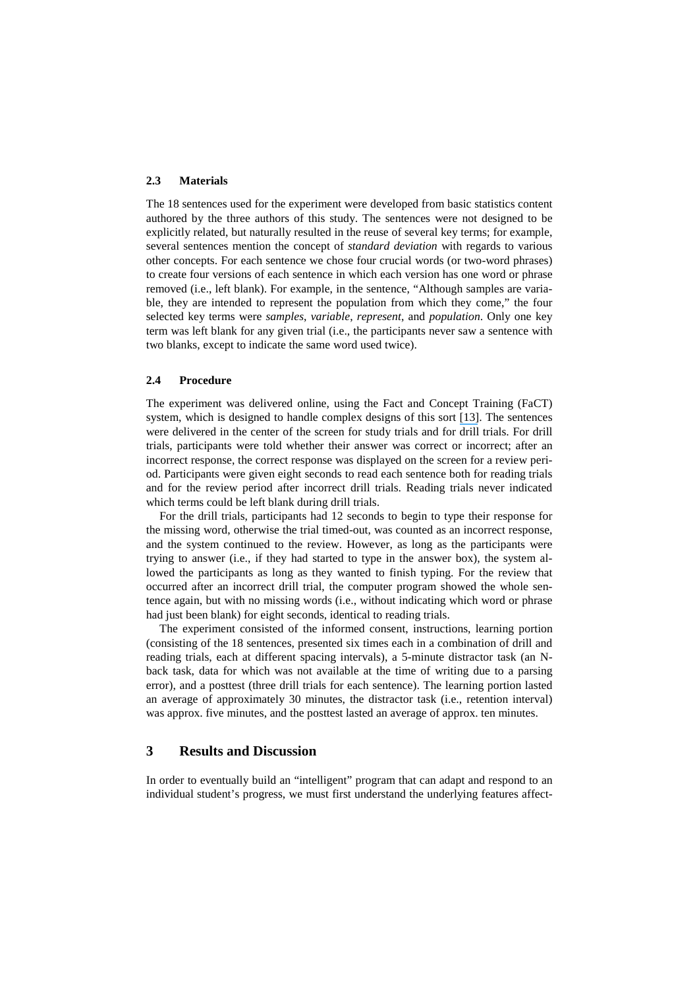#### **2.3 Materials**

The 18 sentences used for the experiment were developed from basic statistics content authored by the three authors of this study. The sentences were not designed to be explicitly related, but naturally resulted in the reuse of several key terms; for example, several sentences mention the concept of *standard deviation* with regards to various other concepts. For each sentence we chose four crucial words (or two-word phrases) to create four versions of each sentence in which each version has one word or phrase removed (i.e., left blank). For example, in the sentence, "Although samples are variable, they are intended to represent the population from which they come," the four selected key terms were *samples*, *variable*, *represent*, and *population*. Only one key term was left blank for any given trial (i.e., the participants never saw a sentence with two blanks, except to indicate the same word used twice).

### **2.4 Procedure**

The experiment was delivered online, using the Fact and Concept Training (FaCT) system, which is designed to handle complex designs of this sort [\[](https://www.researchgate.net/publication/258883333_The_FaCT_Fact_and_Concept_Training_System_A_new_tool_linking_cognitive_science_with_educators?el=1_x_8&enrichId=rgreq-501db0b47b7c63dc573ee4d805660628-XXX&enrichSource=Y292ZXJQYWdlOzI3NzI0Nzc2MztBUzoyMzM0NjM5MjQxMjk3OTNAMTQzMjY3MzU0NTIyMw==)[13\]](#page-9-10). The sentences were delivered in the center of the screen for study trials and for drill trials. For drill trials, participants were told whether their answer was correct or incorrect; after an incorrect response, the correct response was displayed on the screen for a review period. Participants were given eight seconds to read each sentence both for reading trials and for the review period after incorrect drill trials. Reading trials never indicated which terms could be left blank during drill trials.

For the drill trials, participants had 12 seconds to begin to type their response for the missing word, otherwise the trial timed-out, was counted as an incorrect response, and the system continued to the review. However, as long as the participants were trying to answer (i.e., if they had started to type in the answer box), the system allowed the participants as long as they wanted to finish typing. For the review that occurred after an incorrect drill trial, the computer program showed the whole sentence again, but with no missing words (i.e., without indicating which word or phrase had just been blank) for eight seconds, identical to reading trials.

The experiment consisted of the informed consent, instructions, learning portion (consisting of the 18 sentences, presented six times each in a combination of drill and reading trials, each at different spacing intervals), a 5-minute distractor task (an Nback task, data for which was not available at the time of writing due to a parsing error), and a posttest (three drill trials for each sentence). The learning portion lasted an average of approximately 30 minutes, the distractor task (i.e., retention interval) was approx. five minutes, and the posttest lasted an average of approx. ten minutes.

# **3 Results and Discussion**

In order to eventually build an "intelligent" program that can adapt and respond to an individual student's progress, we must first understand the underlying features affect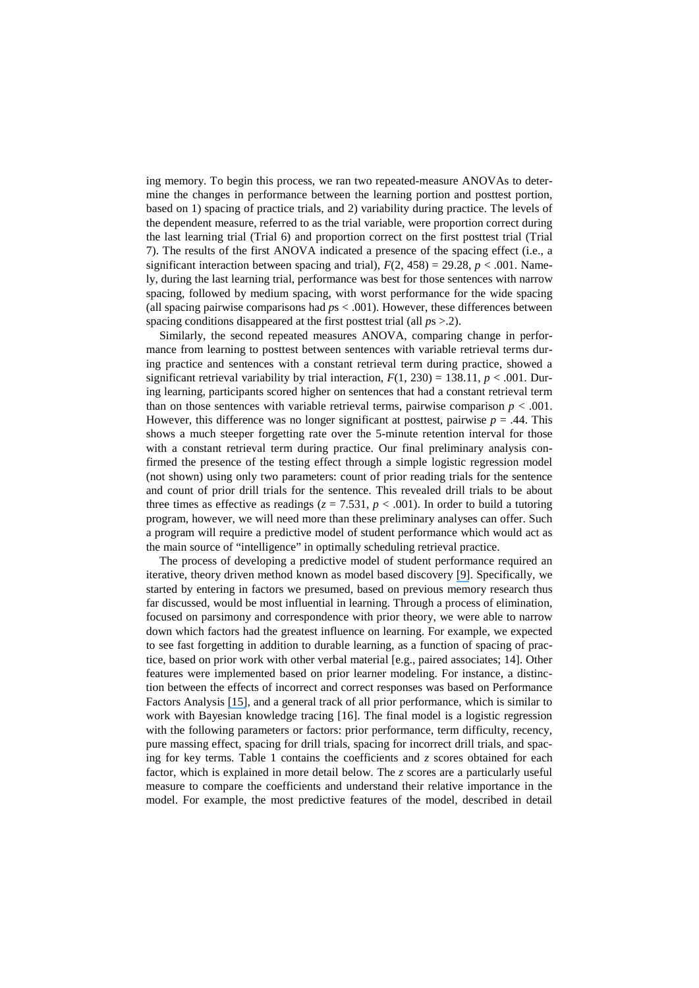ing memory. To begin this process, we ran two repeated-measure ANOVAs to determine the changes in performance between the learning portion and posttest portion, based on 1) spacing of practice trials, and 2) variability during practice. The levels of the dependent measure, referred to as the trial variable, were proportion correct during the last learning trial (Trial 6) and proportion correct on the first posttest trial (Trial 7). The results of the first ANOVA indicated a presence of the spacing effect (i.e., a significant interaction between spacing and trial),  $F(2, 458) = 29.28$ ,  $p < .001$ . Namely, during the last learning trial, performance was best for those sentences with narrow spacing, followed by medium spacing, with worst performance for the wide spacing (all spacing pairwise comparisons had  $p<sub>5</sub>$  < .001). However, these differences between spacing conditions disappeared at the first posttest trial (all *p*s >.2).

Similarly, the second repeated measures ANOVA, comparing change in performance from learning to posttest between sentences with variable retrieval terms during practice and sentences with a constant retrieval term during practice, showed a significant retrieval variability by trial interaction,  $F(1, 230) = 138.11$ ,  $p < .001$ . During learning, participants scored higher on sentences that had a constant retrieval term than on those sentences with variable retrieval terms, pairwise comparison  $p < .001$ . However, this difference was no longer significant at posttest, pairwise  $p = .44$ . This shows a much steeper forgetting rate over the 5-minute retention interval for those with a constant retrieval term during practice. Our final preliminary analysis confirmed the presence of the testing effect through a simple logistic regression model (not shown) using only two parameters: count of prior reading trials for the sentence and count of prior drill trials for the sentence. This revealed drill trials to be about three times as effective as readings ( $z = 7.531$ ,  $p < .001$ ). In order to build a tutoring program, however, we will need more than these preliminary analyses can offer. Such a program will require a predictive model of student performance which would act as the main source of "intelligence" in optimally scheduling retrieval practice.

The process of developing a predictive model of student performance required an iterative, theory driven method known as model based discovery [\[](https://www.researchgate.net/publication/303194389_The_State_of_Educational_Data_Mining_in_2009_A_Review_and_Future_Visions?el=1_x_8&enrichId=rgreq-501db0b47b7c63dc573ee4d805660628-XXX&enrichSource=Y292ZXJQYWdlOzI3NzI0Nzc2MztBUzoyMzM0NjM5MjQxMjk3OTNAMTQzMjY3MzU0NTIyMw==)[9\]](#page-9-6). Specifically, we started by entering in factors we presumed, based on previous memory research thus far discussed, would be most influential in learning. Through a process of elimination, focused on parsimony and correspondence with prior theory, we were able to narrow down which factors had the greatest influence on learning. For example, we expected to see fast forgetting in addition to durable learning, as a function of spacing of practice, based on prior work with other verbal material [\[e.g., paired associates; 14\]](#page-9-11). Other features were implemented based on prior learner modeling. For instance, a distinction between the effects of incorrect and correct responses was based on Performance Factors Analysis [\[](https://www.researchgate.net/publication/221297435_Performance_Factors_Analysis_-_A_New_Alternative_to_Knowledge_Tracing?el=1_x_8&enrichId=rgreq-501db0b47b7c63dc573ee4d805660628-XXX&enrichSource=Y292ZXJQYWdlOzI3NzI0Nzc2MztBUzoyMzM0NjM5MjQxMjk3OTNAMTQzMjY3MzU0NTIyMw==)[15\]](#page-9-12), and a general track of all prior performance, which is similar to work with Bayesian knowledge tracing [\[16\]](#page-9-13). The final model is a logistic regression with the following parameters or factors: prior performance, term difficulty, recency, pure massing effect, spacing for drill trials, spacing for incorrect drill trials, and spacing for key terms. Table 1 contains the coefficients and *z* scores obtained for each factor, which is explained in more detail below. The *z* scores are a particularly useful measure to compare the coefficients and understand their relative importance in the model. For example, the most predictive features of the model, described in detail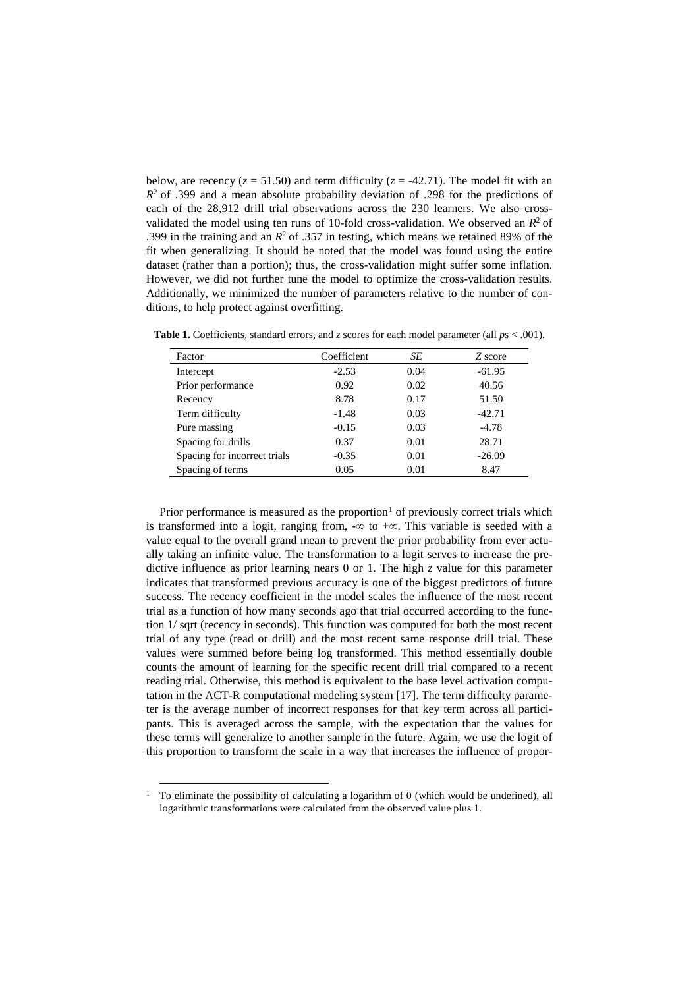below, are recency ( $z = 51.50$ ) and term difficulty ( $z = -42.71$ ). The model fit with an  $R<sup>2</sup>$  of .399 and a mean absolute probability deviation of .298 for the predictions of each of the 28,912 drill trial observations across the 230 learners. We also crossvalidated the model using ten runs of 10-fold cross-validation. We observed an  $R^2$  of .399 in the training and an  $R^2$  of .357 in testing, which means we retained 89% of the fit when generalizing. It should be noted that the model was found using the entire dataset (rather than a portion); thus, the cross-validation might suffer some inflation. However, we did not further tune the model to optimize the cross-validation results. Additionally, we minimized the number of parameters relative to the number of conditions, to help protect against overfitting.

| Factor                       | Coefficient | SЕ   | Z score  |
|------------------------------|-------------|------|----------|
| Intercept                    | $-2.53$     | 0.04 | $-61.95$ |
| Prior performance            | 0.92        | 0.02 | 40.56    |
| Recency                      | 8.78        | 0.17 | 51.50    |
| Term difficulty              | $-1.48$     | 0.03 | $-42.71$ |
| Pure massing                 | $-0.15$     | 0.03 | $-4.78$  |
| Spacing for drills           | 0.37        | 0.01 | 28.71    |
| Spacing for incorrect trials | $-0.35$     | 0.01 | $-26.09$ |
| Spacing of terms             | 0.05        | 0.01 | 8.47     |

**Table 1.** Coefficients, standard errors, and *z* scores for each model parameter (all *p*s < .001).

Prior performance is measured as the proportion<sup>[1](#page-5-0)</sup> of previously correct trials which is transformed into a logit, ranging from,  $-\infty$  to  $+\infty$ . This variable is seeded with a value equal to the overall grand mean to prevent the prior probability from ever actually taking an infinite value. The transformation to a logit serves to increase the predictive influence as prior learning nears 0 or 1. The high *z* value for this parameter indicates that transformed previous accuracy is one of the biggest predictors of future success. The recency coefficient in the model scales the influence of the most recent trial as a function of how many seconds ago that trial occurred according to the function 1/ sqrt (recency in seconds). This function was computed for both the most recent trial of any type (read or drill) and the most recent same response drill trial. These values were summed before being log transformed. This method essentially double counts the amount of learning for the specific recent drill trial compared to a recent reading trial. Otherwise, this method is equivalent to the base level activation computation in the ACT-R computational modeling system [\[17\]](#page-9-14). The term difficulty parameter is the average number of incorrect responses for that key term across all participants. This is averaged across the sample, with the expectation that the values for these terms will generalize to another sample in the future. Again, we use the logit of this proportion to transform the scale in a way that increases the influence of propor-

<span id="page-5-0"></span> <sup>1</sup> To eliminate the possibility of calculating a logarithm of 0 (which would be undefined), all logarithmic transformations were calculated from the observed value plus 1.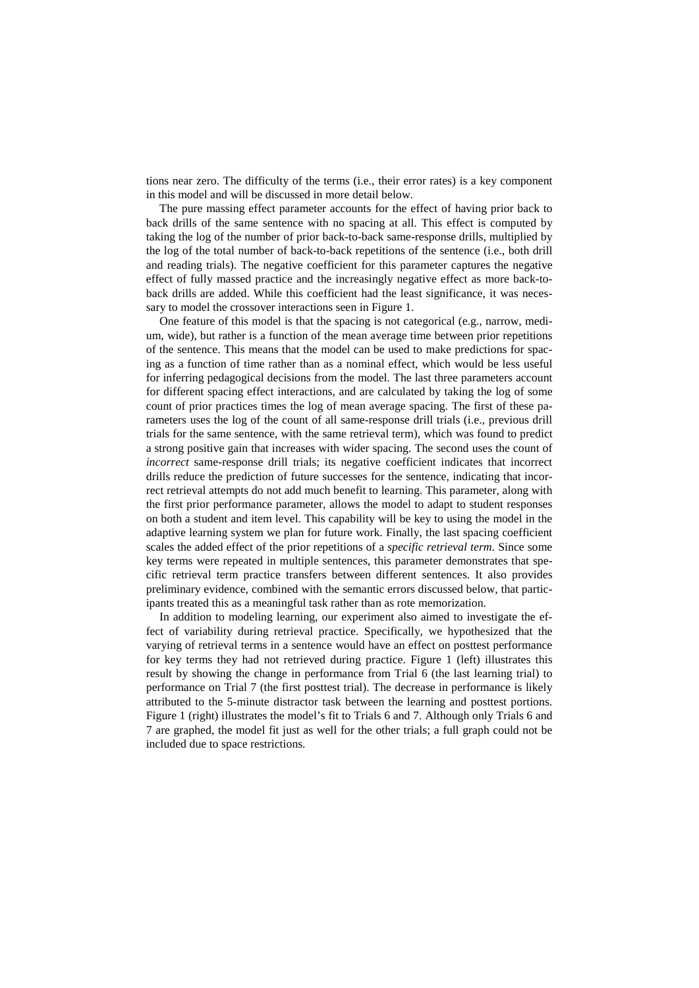tions near zero. The difficulty of the terms (i.e., their error rates) is a key component in this model and will be discussed in more detail below.

The pure massing effect parameter accounts for the effect of having prior back to back drills of the same sentence with no spacing at all. This effect is computed by taking the log of the number of prior back-to-back same-response drills, multiplied by the log of the total number of back-to-back repetitions of the sentence (i.e., both drill and reading trials). The negative coefficient for this parameter captures the negative effect of fully massed practice and the increasingly negative effect as more back-toback drills are added. While this coefficient had the least significance, it was necessary to model the crossover interactions seen in Figure 1.

One feature of this model is that the spacing is not categorical (e.g., narrow, medium, wide), but rather is a function of the mean average time between prior repetitions of the sentence. This means that the model can be used to make predictions for spacing as a function of time rather than as a nominal effect, which would be less useful for inferring pedagogical decisions from the model. The last three parameters account for different spacing effect interactions, and are calculated by taking the log of some count of prior practices times the log of mean average spacing. The first of these parameters uses the log of the count of all same-response drill trials (i.e., previous drill trials for the same sentence, with the same retrieval term), which was found to predict a strong positive gain that increases with wider spacing. The second uses the count of *incorrect* same-response drill trials; its negative coefficient indicates that incorrect drills reduce the prediction of future successes for the sentence, indicating that incorrect retrieval attempts do not add much benefit to learning. This parameter, along with the first prior performance parameter, allows the model to adapt to student responses on both a student and item level. This capability will be key to using the model in the adaptive learning system we plan for future work. Finally, the last spacing coefficient scales the added effect of the prior repetitions of a *specific retrieval term*. Since some key terms were repeated in multiple sentences, this parameter demonstrates that specific retrieval term practice transfers between different sentences. It also provides preliminary evidence, combined with the semantic errors discussed below, that participants treated this as a meaningful task rather than as rote memorization.

In addition to modeling learning, our experiment also aimed to investigate the effect of variability during retrieval practice. Specifically, we hypothesized that the varying of retrieval terms in a sentence would have an effect on posttest performance for key terms they had not retrieved during practice. Figure 1 (left) illustrates this result by showing the change in performance from Trial 6 (the last learning trial) to performance on Trial 7 (the first posttest trial). The decrease in performance is likely attributed to the 5-minute distractor task between the learning and posttest portions. Figure 1 (right) illustrates the model's fit to Trials 6 and 7. Although only Trials 6 and 7 are graphed, the model fit just as well for the other trials; a full graph could not be included due to space restrictions.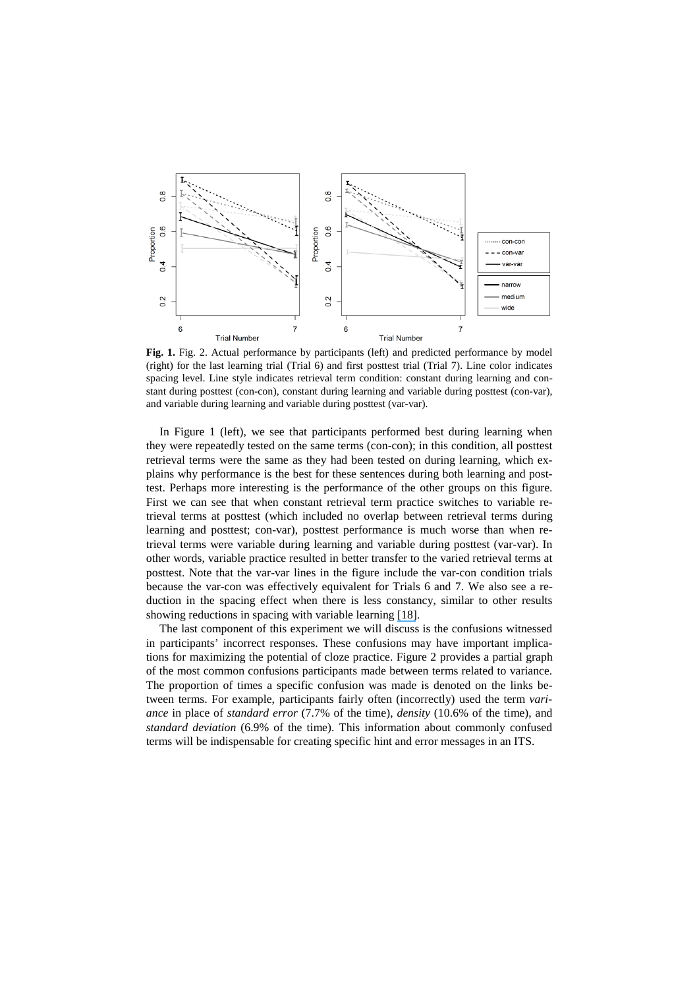

**Fig. 1.** Fig. 2. Actual performance by participants (left) and predicted performance by model (right) for the last learning trial (Trial 6) and first posttest trial (Trial 7). Line color indicates spacing level. Line style indicates retrieval term condition: constant during learning and constant during posttest (con-con), constant during learning and variable during posttest (con-var), and variable during learning and variable during posttest (var-var).

In Figure 1 (left), we see that participants performed best during learning when they were repeatedly tested on the same terms (con-con); in this condition, all posttest retrieval terms were the same as they had been tested on during learning, which explains why performance is the best for these sentences during both learning and posttest. Perhaps more interesting is the performance of the other groups on this figure. First we can see that when constant retrieval term practice switches to variable retrieval terms at posttest (which included no overlap between retrieval terms during learning and posttest; con-var), posttest performance is much worse than when retrieval terms were variable during learning and variable during posttest (var-var). In other words, variable practice resulted in better transfer to the varied retrieval terms at posttest. Note that the var-var lines in the figure include the var-con condition trials because the var-con was effectively equivalent for Trials 6 and 7. We also see a reduction in the spacing effect when there is less constancy, similar to other results showing reductions in spacing with variable learning [\[](https://www.researchgate.net/publication/23547256_Examining_the_Spacing_Effect_in_Advertising_Encoding_Variability_Retrieval_Processes_and_Their_Interaction?el=1_x_8&enrichId=rgreq-501db0b47b7c63dc573ee4d805660628-XXX&enrichSource=Y292ZXJQYWdlOzI3NzI0Nzc2MztBUzoyMzM0NjM5MjQxMjk3OTNAMTQzMjY3MzU0NTIyMw==)[18\]](#page-9-15).

The last component of this experiment we will discuss is the confusions witnessed in participants' incorrect responses. These confusions may have important implications for maximizing the potential of cloze practice. Figure 2 provides a partial graph of the most common confusions participants made between terms related to variance. The proportion of times a specific confusion was made is denoted on the links between terms. For example, participants fairly often (incorrectly) used the term *variance* in place of *standard error* (7.7% of the time), *density* (10.6% of the time), and *standard deviation* (6.9% of the time). This information about commonly confused terms will be indispensable for creating specific hint and error messages in an ITS.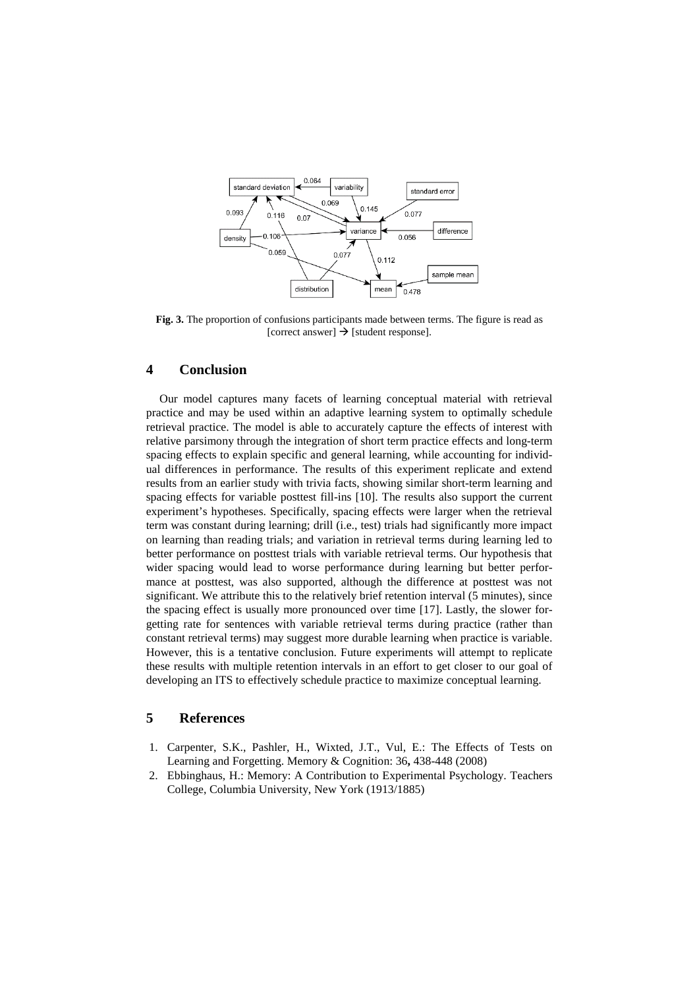

**Fig. 3.** The proportion of confusions participants made between terms. The figure is read as [correct answer]  $\rightarrow$  [student response].

## **4 Conclusion**

Our model captures many facets of learning conceptual material with retrieval practice and may be used within an adaptive learning system to optimally schedule retrieval practice. The model is able to accurately capture the effects of interest with relative parsimony through the integration of short term practice effects and long-term spacing effects to explain specific and general learning, while accounting for individual differences in performance. The results of this experiment replicate and extend results from an earlier study with trivia facts, showing similar short-term learning and spacing effects for variable posttest fill-ins [\[10\]](#page-9-7). The results also support the current experiment's hypotheses. Specifically, spacing effects were larger when the retrieval term was constant during learning; drill (i.e., test) trials had significantly more impact on learning than reading trials; and variation in retrieval terms during learning led to better performance on posttest trials with variable retrieval terms. Our hypothesis that wider spacing would lead to worse performance during learning but better performance at posttest, was also supported, although the difference at posttest was not significant. We attribute this to the relatively brief retention interval (5 minutes), since the spacing effect is usually more pronounced over time [\[17\]](#page-9-14). Lastly, the slower forgetting rate for sentences with variable retrieval terms during practice (rather than constant retrieval terms) may suggest more durable learning when practice is variable. However, this is a tentative conclusion. Future experiments will attempt to replicate these results with multiple retention intervals in an effort to get closer to our goal of developing an ITS to effectively schedule practice to maximize conceptual learning.

# **5 References**

- <span id="page-8-0"></span>1. Carpenter, S.K., Pashler, H., Wixted, J.T., Vul, E.: The Effects of Tests on Learning and Forgetting. Memory & Cognition: 36**,** 438-448 (2008)
- <span id="page-8-1"></span>2. Ebbinghaus, H.: Memory: A Contribution to Experimental Psychology. Teachers College, Columbia University, New York (1913/1885)